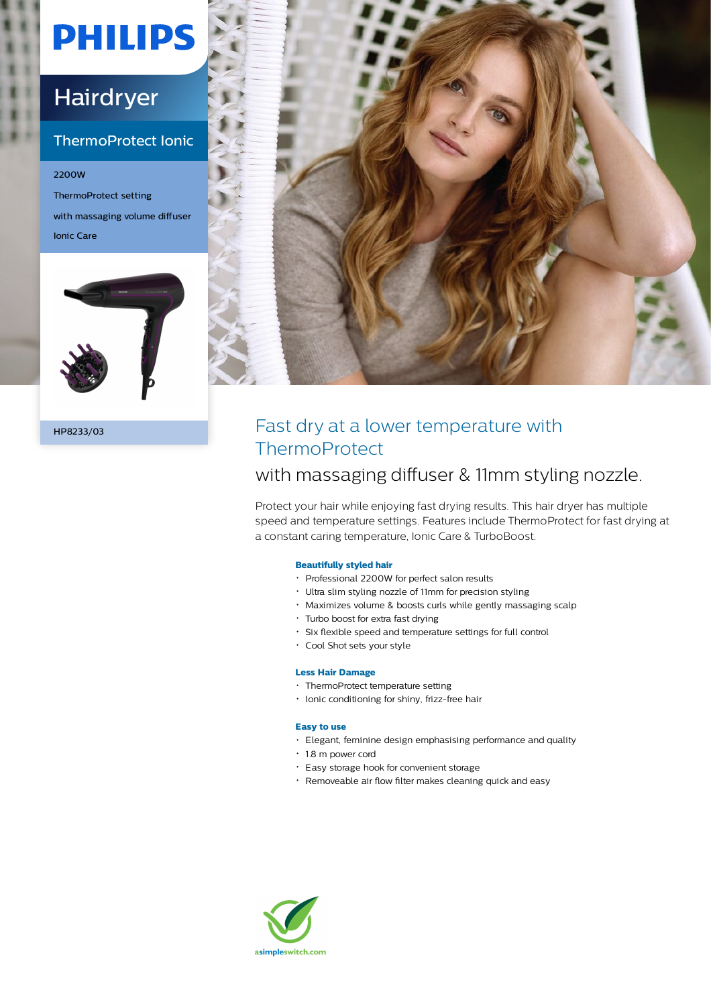# **PHILIPS**

## Hairdryer

### ThermoProtect Ionic

2200W ThermoProtect setting with massaging volume diffuser Ionic Care





## HP8233/03 Fast dry at a lower temperature with **ThermoProtect**

### with massaging diffuser & 11mm styling nozzle.

Protect your hair while enjoying fast drying results. This hair dryer has multiple speed and temperature settings. Features include ThermoProtect for fast drying at a constant caring temperature, Ionic Care & TurboBoost.

#### **Beautifully styled hair**

- Professional 2200W for perfect salon results
- Ultra slim styling nozzle of 11mm for precision styling
- Maximizes volume & boosts curls while gently massaging scalp
- Turbo boost for extra fast drying
- Six flexible speed and temperature settings for full control
- Cool Shot sets your style

#### **Less Hair Damage**

- ThermoProtect temperature setting
- Ionic conditioning for shiny, frizz-free hair

#### **Easy to use**

- Elegant, feminine design emphasising performance and quality
- 1.8 m power cord
- Easy storage hook for convenient storage
- Removeable air flow filter makes cleaning quick and easy

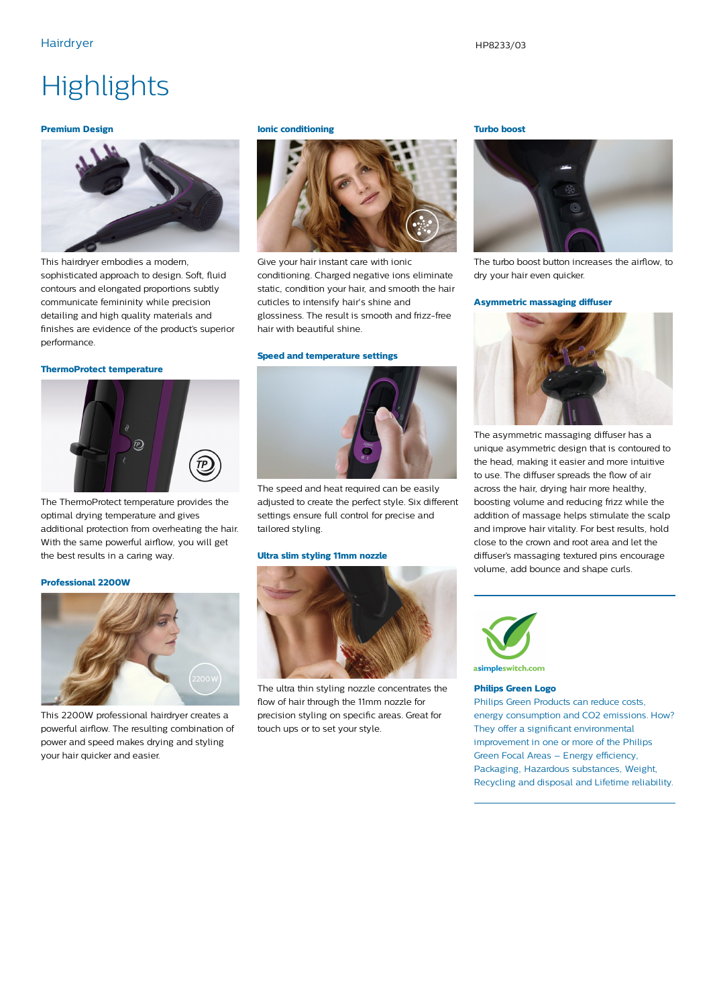## **Highlights**

#### **Premium Design**



This hairdryer embodies a modern, sophisticated approach to design. Soft, fluid contours and elongated proportions subtly communicate femininity while precision detailing and high quality materials and finishes are evidence of the product's superior performance.

#### **ThermoProtect temperature**



The ThermoProtect temperature provides the optimal drying temperature and gives additional protection from overheating the hair. With the same powerful airflow, you will get the best results in a caring way.

#### **Professional 2200W**



This 2200W professional hairdryer creates a powerful airflow. The resulting combination of power and speed makes drying and styling your hair quicker and easier.

#### **Ionic conditioning**



Give your hair instant care with ionic conditioning. Charged negative ions eliminate static, condition your hair, and smooth the hair cuticles to intensify hair's shine and glossiness. The result is smooth and frizz-free hair with beautiful shine.

#### **Speed and temperature settings**



The speed and heat required can be easily adjusted to create the perfect style. Six different settings ensure full control for precise and tailored styling.

#### **Ultra slim styling 11mm nozzle**



The ultra thin styling nozzle concentrates the flow of hair through the 11mm nozzle for precision styling on specific areas. Great for touch ups or to set your style.

#### **Turbo boost**



The turbo boost button increases the airflow, to dry your hair even quicker.

#### **Asymmetric massaging diffuser**



The asymmetric massaging diffuser has a unique asymmetric design that is contoured to the head, making it easier and more intuitive to use. The diffuser spreads the flow of air across the hair, drying hair more healthy, boosting volume and reducing frizz while the addition of massage helps stimulate the scalp and improve hair vitality. For best results, hold close to the crown and root area and let the diffuser's massaging textured pins encourage volume, add bounce and shape curls.



#### **Philips Green Logo**

Philips Green Products can reduce costs, energy consumption and CO2 emissions. How? They offer a significant environmental improvement in one or more of the Philips Green Focal Areas – Energy efficiency, Packaging, Hazardous substances, Weight, Recycling and disposal and Lifetime reliability.